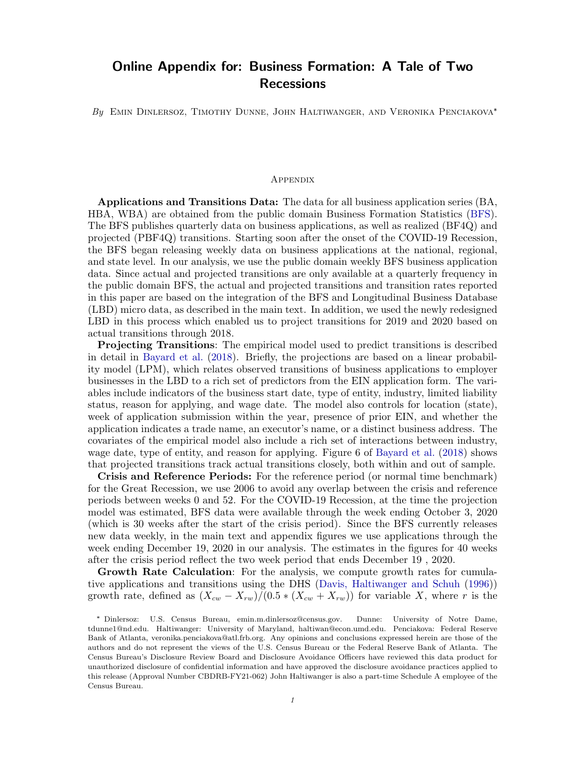## Online Appendix for: Business Formation: A Tale of Two Recessions

By EMIN DINLERSOZ, TIMOTHY DUNNE, JOHN HALTIWANGER, AND VERONIKA PENCIAKOVA\*

## **APPENDIX**

Applications and Transitions Data: The data for all business application series (BA, HBA, WBA) are obtained from the public domain Business Formation Statistics [\(BFS\)](https://www.census.gov/econ/bfs/index.html). The BFS publishes quarterly data on business applications, as well as realized (BF4Q) and projected (PBF4Q) transitions. Starting soon after the onset of the COVID-19 Recession, the BFS began releasing weekly data on business applications at the national, regional, and state level. In our analysis, we use the public domain weekly BFS business application data. Since actual and projected transitions are only available at a quarterly frequency in the public domain BFS, the actual and projected transitions and transition rates reported in this paper are based on the integration of the BFS and Longitudinal Business Database (LBD) micro data, as described in the main text. In addition, we used the newly redesigned LBD in this process which enabled us to project transitions for 2019 and 2020 based on actual transitions through 2018.

Projecting Transitions: The empirical model used to predict transitions is described in detail in [Bayard et al.](#page-4-0) [\(2018\)](#page-4-0). Briefly, the projections are based on a linear probability model (LPM), which relates observed transitions of business applications to employer businesses in the LBD to a rich set of predictors from the EIN application form. The variables include indicators of the business start date, type of entity, industry, limited liability status, reason for applying, and wage date. The model also controls for location (state), week of application submission within the year, presence of prior EIN, and whether the application indicates a trade name, an executor's name, or a distinct business address. The covariates of the empirical model also include a rich set of interactions between industry, wage date, type of entity, and reason for applying. Figure 6 of [Bayard et al.](#page-4-0) [\(2018\)](#page-4-0) shows that projected transitions track actual transitions closely, both within and out of sample.

Crisis and Reference Periods: For the reference period (or normal time benchmark) for the Great Recession, we use 2006 to avoid any overlap between the crisis and reference periods between weeks 0 and 52. For the COVID-19 Recession, at the time the projection model was estimated, BFS data were available through the week ending October 3, 2020 (which is 30 weeks after the start of the crisis period). Since the BFS currently releases new data weekly, in the main text and appendix figures we use applications through the week ending December 19, 2020 in our analysis. The estimates in the figures for 40 weeks after the crisis period reflect the two week period that ends December 19 , 2020.

Growth Rate Calculation: For the analysis, we compute growth rates for cumulative applications and transitions using the DHS [\(Davis, Haltiwanger and Schuh](#page-4-1) [\(1996\)](#page-4-1)) growth rate, defined as  $(X_{cw} - X_{rw})/(0.5 * (X_{cw} + X_{rw}))$  for variable X, where r is the

<sup>\*</sup> Dinlersoz: U.S. Census Bureau, emin.m.dinlersoz@census.gov. Dunne: University of Notre Dame, tdunne1@nd.edu. Haltiwanger: University of Maryland, haltiwan@econ.umd.edu. Penciakova: Federal Reserve Bank of Atlanta, veronika.penciakova@atl.frb.org. Any opinions and conclusions expressed herein are those of the authors and do not represent the views of the U.S. Census Bureau or the Federal Reserve Bank of Atlanta. The Census Bureau's Disclosure Review Board and Disclosure Avoidance Officers have reviewed this data product for unauthorized disclosure of confidential information and have approved the disclosure avoidance practices applied to this release (Approval Number CBDRB-FY21-062) John Haltiwanger is also a part-time Schedule A employee of the Census Bureau.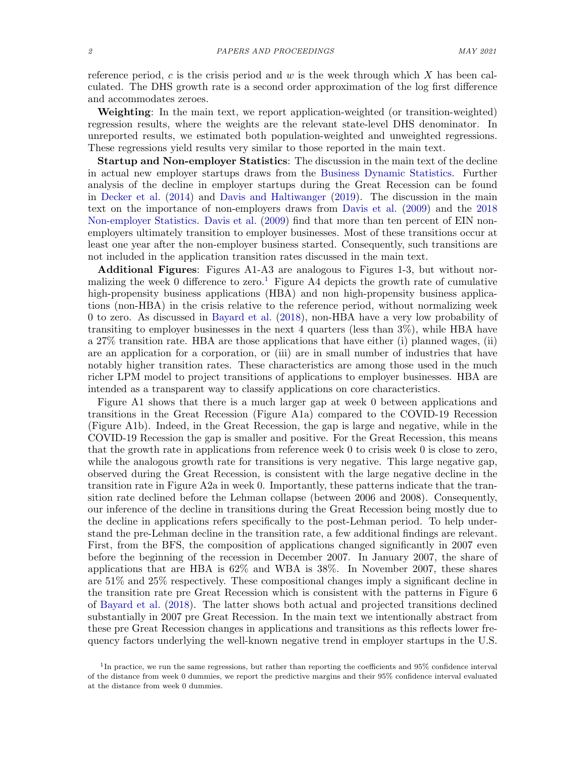reference period, c is the crisis period and  $w$  is the week through which  $X$  has been calculated. The DHS growth rate is a second order approximation of the log first difference and accommodates zeroes.

Weighting: In the main text, we report application-weighted (or transition-weighted) regression results, where the weights are the relevant state-level DHS denominator. In unreported results, we estimated both population-weighted and unweighted regressions. These regressions yield results very similar to those reported in the main text.

Startup and Non-employer Statistics: The discussion in the main text of the decline in actual new employer startups draws from the [Business Dynamic Statistics.](https://www.census.gov/programs-surveys/bds.html) Further analysis of the decline in employer startups during the Great Recession can be found in [Decker et al.](#page-4-2) [\(2014\)](#page-4-2) and [Davis and Haltiwanger](#page-4-3) [\(2019\)](#page-4-3). The discussion in the main text on the importance of non-employers draws from [Davis et al.](#page-4-4) [\(2009\)](#page-4-4) and the [2018](https://www.census.gov/data/datasets/2018/econ/nonemployer-statistics/2018-ns.html) [Non-employer Statistics.](https://www.census.gov/data/datasets/2018/econ/nonemployer-statistics/2018-ns.html) [Davis et al.](#page-4-4) [\(2009\)](#page-4-4) find that more than ten percent of EIN nonemployers ultimately transition to employer businesses. Most of these transitions occur at least one year after the non-employer business started. Consequently, such transitions are not included in the application transition rates discussed in the main text.

Additional Figures: Figures A1-A3 are analogous to Figures 1-3, but without nor-malizing the week 0 difference to zero.<sup>[1](#page-1-0)</sup> Figure A4 depicts the growth rate of cumulative high-propensity business applications (HBA) and non high-propensity business applications (non-HBA) in the crisis relative to the reference period, without normalizing week 0 to zero. As discussed in [Bayard et al.](#page-4-0) [\(2018\)](#page-4-0), non-HBA have a very low probability of transiting to employer businesses in the next 4 quarters (less than 3%), while HBA have a 27% transition rate. HBA are those applications that have either (i) planned wages, (ii) are an application for a corporation, or (iii) are in small number of industries that have notably higher transition rates. These characteristics are among those used in the much richer LPM model to project transitions of applications to employer businesses. HBA are intended as a transparent way to classify applications on core characteristics.

Figure A1 shows that there is a much larger gap at week 0 between applications and transitions in the Great Recession (Figure A1a) compared to the COVID-19 Recession (Figure A1b). Indeed, in the Great Recession, the gap is large and negative, while in the COVID-19 Recession the gap is smaller and positive. For the Great Recession, this means that the growth rate in applications from reference week 0 to crisis week 0 is close to zero, while the analogous growth rate for transitions is very negative. This large negative gap, observed during the Great Recession, is consistent with the large negative decline in the transition rate in Figure A2a in week 0. Importantly, these patterns indicate that the transition rate declined before the Lehman collapse (between 2006 and 2008). Consequently, our inference of the decline in transitions during the Great Recession being mostly due to the decline in applications refers specifically to the post-Lehman period. To help understand the pre-Lehman decline in the transition rate, a few additional findings are relevant. First, from the BFS, the composition of applications changed significantly in 2007 even before the beginning of the recession in December 2007. In January 2007, the share of applications that are HBA is 62% and WBA is 38%. In November 2007, these shares are 51% and 25% respectively. These compositional changes imply a significant decline in the transition rate pre Great Recession which is consistent with the patterns in Figure 6 of [Bayard et al.](#page-4-0) [\(2018\)](#page-4-0). The latter shows both actual and projected transitions declined substantially in 2007 pre Great Recession. In the main text we intentionally abstract from these pre Great Recession changes in applications and transitions as this reflects lower frequency factors underlying the well-known negative trend in employer startups in the U.S.

<span id="page-1-0"></span><sup>&</sup>lt;sup>1</sup>In practice, we run the same regressions, but rather than reporting the coefficients and 95% confidence interval of the distance from week 0 dummies, we report the predictive margins and their 95% confidence interval evaluated at the distance from week 0 dummies.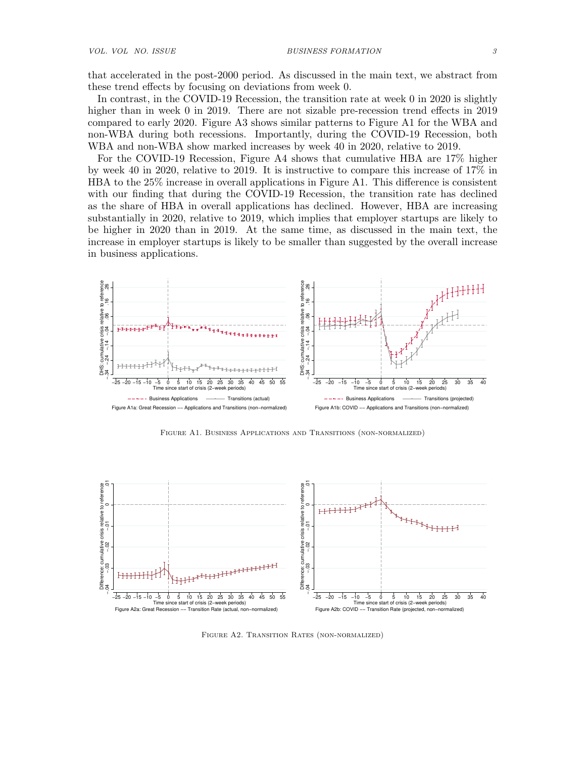that accelerated in the post-2000 period. As discussed in the main text, we abstract from these trend effects by focusing on deviations from week 0.

In contrast, in the COVID-19 Recession, the transition rate at week 0 in 2020 is slightly higher than in week 0 in 2019. There are not sizable pre-recession trend effects in 2019 compared to early 2020. Figure A3 shows similar patterns to Figure A1 for the WBA and non-WBA during both recessions. Importantly, during the COVID-19 Recession, both WBA and non-WBA show marked increases by week 40 in 2020, relative to 2019.

For the COVID-19 Recession, Figure A4 shows that cumulative HBA are 17% higher by week 40 in 2020, relative to 2019. It is instructive to compare this increase of 17% in HBA to the 25% increase in overall applications in Figure A1. This difference is consistent with our finding that during the COVID-19 Recession, the transition rate has declined as the share of HBA in overall applications has declined. However, HBA are increasing substantially in 2020, relative to 2019, which implies that employer startups are likely to be higher in 2020 than in 2019. At the same time, as discussed in the main text, the increase in employer startups is likely to be smaller than suggested by the overall increase in business applications.



Figure A1. Business Applications and Transitions (non-normalized)



Figure A2. Transition Rates (non-normalized)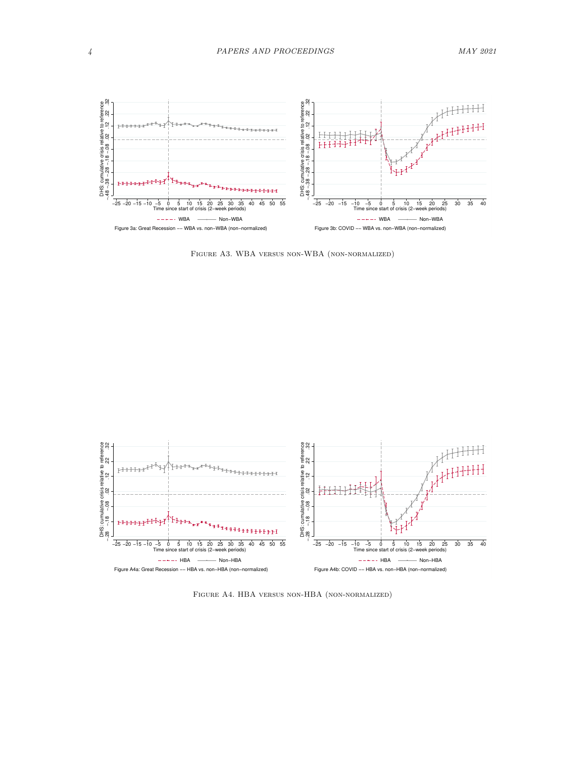

Figure A3. WBA versus non-WBA (non-normalized)



Figure A4. HBA versus non-HBA (non-normalized)